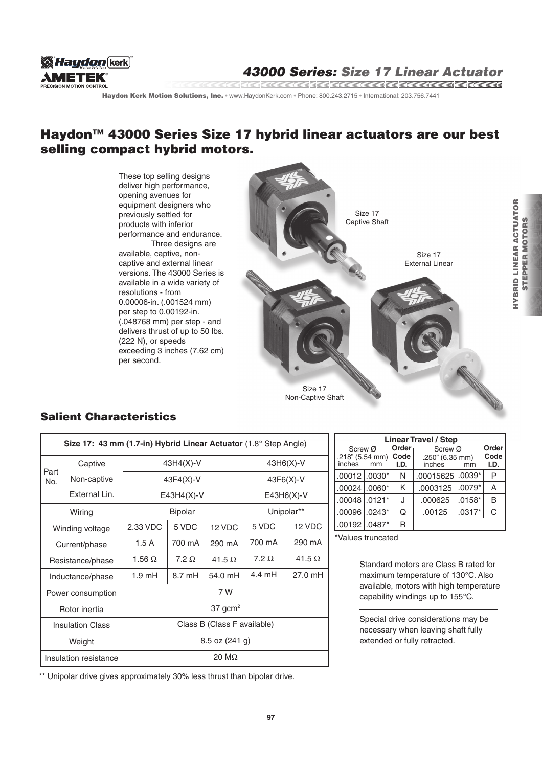

Haydon Kerk Motion Solutions, Inc. · www.HaydonKerk.com · Phone: 800.243.2715 · International: 203.756.7441

## Haydon<sup>™</sup> 43000 Series Size 17 hybrid linear actuators are our best selling compact hybrid motors.

These top selling designs deliver high performance, opening avenues for equipment designers who previously settled for products with inferior performance and endurance. Three designs are available, captive, noncaptive and external linear versions. The 43000 Series is available in a wide variety of resolutions - from 0.00006-in. (.001524 mm) per step to 0.00192-in. (.048768 mm) per step - and delivers thrust of up to 50 lbs. (222 N), or speeds exceeding 3 inches (7.62 cm) per second.



### Salient Characteristics

| Size 17: 43 mm (1.7-in) Hybrid Linear Actuator (1.8° Step Angle) |                       |                             |                  |               |                  |               |  |  |  |  |
|------------------------------------------------------------------|-----------------------|-----------------------------|------------------|---------------|------------------|---------------|--|--|--|--|
| Part<br>No.                                                      | Captive               | $43H4(X)-V$                 |                  |               | $43H6(X)-V$      |               |  |  |  |  |
|                                                                  | Non-captive           | $43F4(X)-V$                 |                  |               | $43F6(X)-V$      |               |  |  |  |  |
|                                                                  | External Lin.         | $E43H4(X)-V$                |                  |               | $E43H6(X)-V$     |               |  |  |  |  |
| Wiring                                                           |                       | <b>Bipolar</b>              |                  |               | Unipolar**       |               |  |  |  |  |
| Winding voltage                                                  |                       | 2.33 VDC                    | 5 VDC            | 12 VDC        | 5 VDC            | 12 VDC        |  |  |  |  |
| Current/phase                                                    |                       | 1.5 A                       | 700 mA           | 290 mA        | 700 mA           | 290 mA        |  |  |  |  |
| Resistance/phase                                                 |                       | 1.56 $\Omega$               | $7.2 \Omega$     | 41.5 $\Omega$ | $7.2 \Omega$     | 41.5 $\Omega$ |  |  |  |  |
| Inductance/phase                                                 |                       | $1.9 \text{ mH}$            | $8.7 \text{ mH}$ | 54.0 mH       | $4.4 \text{ mH}$ | 27.0 mH       |  |  |  |  |
| Power consumption                                                |                       | 7 W                         |                  |               |                  |               |  |  |  |  |
| Rotor inertia                                                    |                       | $37$ gcm <sup>2</sup>       |                  |               |                  |               |  |  |  |  |
| <b>Insulation Class</b>                                          |                       | Class B (Class F available) |                  |               |                  |               |  |  |  |  |
| Weight                                                           |                       | $8.5$ oz $(241 g)$          |                  |               |                  |               |  |  |  |  |
|                                                                  | Insulation resistance | $20 \text{ M}\Omega$        |                  |               |                  |               |  |  |  |  |

\*\* Unipolar drive gives approximately 30% less thrust than bipolar drive.

| <b>Linear Travel / Step</b>          |    |                                    |                                      |          |                       |  |  |  |  |
|--------------------------------------|----|------------------------------------|--------------------------------------|----------|-----------------------|--|--|--|--|
| Screw Ø<br>.218" (5.54 mm)<br>inches | mm | Order <sub>1</sub><br>Code<br>I.D. | Screw Ø<br>.250" (6.35 mm)<br>inches | mm       | Order<br>Code<br>I.D. |  |  |  |  |
| $.00012$ $.0030*$                    |    | N                                  | .00015625 .0039*                     |          | P                     |  |  |  |  |
| 1.00024   .0060*                     |    | Κ                                  | .0003125                             | $.0079*$ | Α                     |  |  |  |  |
| $.00048$ .0121*                      |    | J                                  | .000625                              | $.0158*$ | B                     |  |  |  |  |
| .00096 .0243*                        |    | Q                                  | .00125                               | $.0317*$ | C                     |  |  |  |  |
| $.00192$ .0487*                      |    | R                                  |                                      |          |                       |  |  |  |  |

\*Values truncated

Standard motors are Class B rated for maximum temperature of 130°C. Also available, motors with high temperature capability windings up to 155°C.

Special drive considerations may be necessary when leaving shaft fully extended or fully retracted.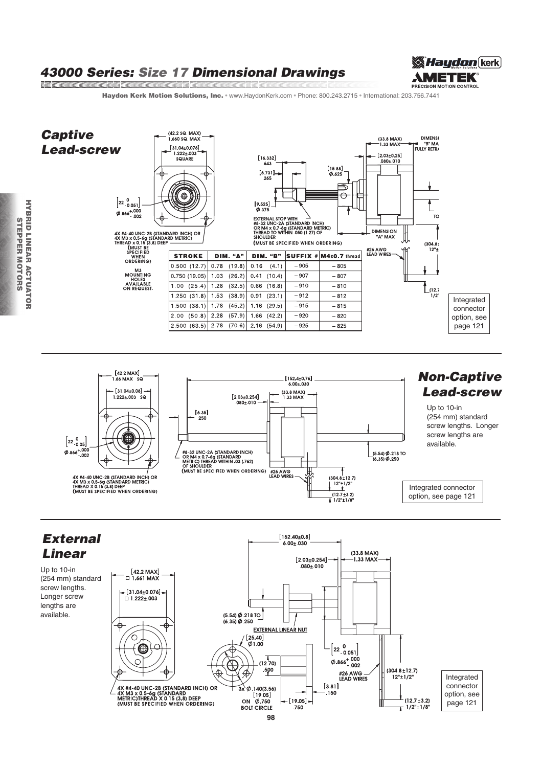# 43000 Series: Size 17 Dimensional Drawings



Haydon Kerk Motion Solutions, Inc. · www.HaydonKerk.com · Phone: 800.243.2715 · International: 203.756.7441







**MARINE AND ARRANGEMENT OF THE ARRANGEMENT**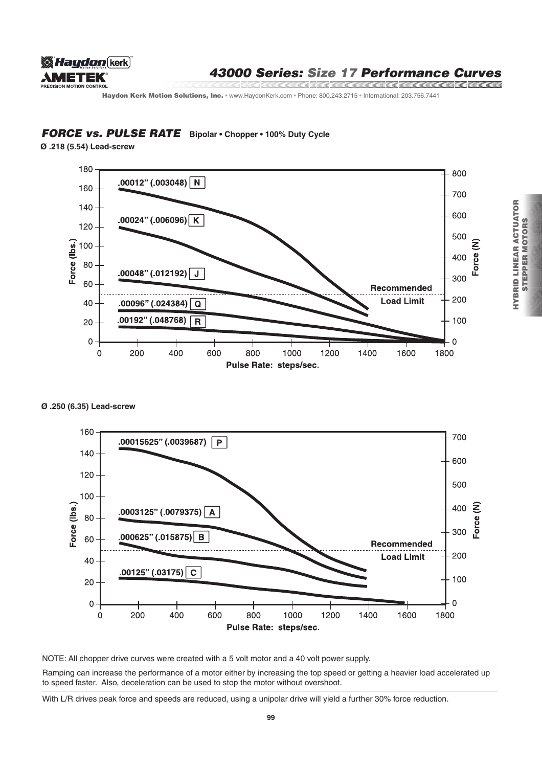

## 43000 Series: Size 17 Performance Curves

Haydon Kerk Motion Solutions, Inc. · www.HaydonKerk.com · Phone: 800.243.2715 · International: 203.756.7441

### **FORCE vs. PULSE RATE** Bipolar • Chopper • 100% Duty Cycle

**Ø .218 (5.54) Lead-screw**



#### **Ø .250 (6.35) Lead-screw**



NOTE: All chopper drive curves were created with a 5 volt motor and a 40 volt power supply.

Ramping can increase the performance of a motor either by increasing the top speed or getting a heavier load accelerated up to speed faster. Also, deceleration can be used to stop the motor without overshoot.

With L/R drives peak force and speeds are reduced, using a unipolar drive will yield a further 30% force reduction.